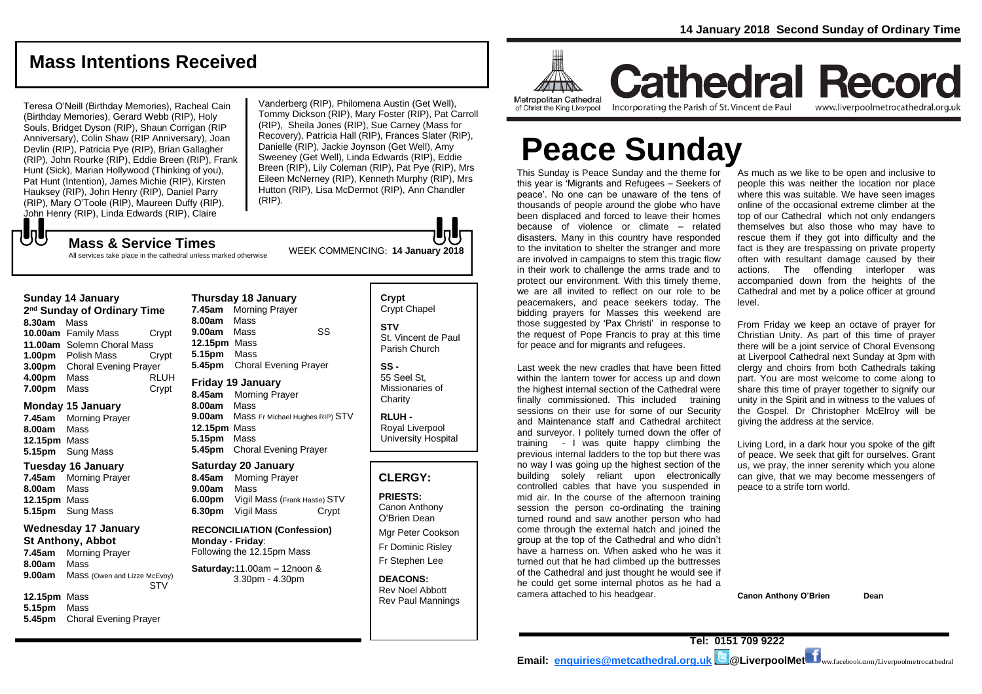# **Mass Intentions Received**

Teresa O'Neill (Birthday Memories), Racheal Cain (Birthday Memories), Gerard Webb (RIP), Holy Souls, Bridget Dyson (RIP), Shaun Corrigan (RIP Anniversary), Colin Shaw (RIP Anniversary), Joan Devlin (RIP), Patricia Pye (RIP), Brian Gallagher (RIP), John Rourke (RIP), Eddie Breen (RIP), Frank Hunt (Sick), Marian Hollywood (Thinking of you), Pat Hunt (Intention), James Michie (RIP), Kirsten Hauksey (RIP), John Henry (RIP), Daniel Parry (RIP), Mary O'Toole (RIP), Maureen Duffy (RIP), John Henry (RIP), Linda Edwards (RIP), Claire

Vanderberg (RIP), Philomena Austin (Get Well), Tommy Dickson (RIP), Mary Foster (RIP), Pat Carroll (RIP), Sheila Jones (RIP), Sue Carney (Mass for Recovery), Patricia Hall (RIP), Frances Slater (RIP), Danielle (RIP), Jackie Joynson (Get Well), Amy Sweeney (Get Well), Linda Edwards (RIP), Eddie Breen (RIP), Lily Coleman (RIP), Pat Pye (RIP), Mrs Eileen McNerney (RIP), Kenneth Murphy (RIP), Mrs Hutton (RIP), Lisa McDermot (RIP), Ann Chandler (RIP).

WEEK COMMENCING: **<sup>14</sup> January 2018 Mass & Service Times** All services take place in the cathedral unless marked otherwise

#### **Sunday 14 January**

**UU** 

**2 nd Sunday of Ordinary Time 8.30am** Mass **10.00am** Family Mass Crypt **11.00am** Solemn Choral Mass **1.00pm** Polish Mass Crypt **3.00pm** Choral Evening Prayer **4.00pm** Mass RLUH **7.00pm** Mass Crypt

#### **Monday 15 January**

**7.45am** Morning Prayer **8.00am** Mass **12.15pm** Mass **5.15pm** Sung Mass

## **Tuesday 16 January**

**7.45am** Morning Prayer **8.00am** Mass **12.15pm** Mass **5.15pm** Sung Mass

#### **Wednesday 17 January**

**St Anthony, Abbot 7.45am** Morning Prayer

**8.00am** Mass **9.00am** Mass (Owen and Lizze McEvoy) **STV** 

**12.15pm** Mass **5.15pm** Mass **5.45pm** Choral Evening Prayer

**Thursday 18 January 7.45am** Morning Prayer **8.00am** Mass **9.00am** Mass SS **12.15pm** Mass **5.15pm** Mass **5.45pm** Choral Evening Prayer **Friday 19 January**

#### **8.45am** Morning Prayer

**8.00am** Mass **9.00am** Mass Fr Michael Hughes RIP) STV **12.15pm** Mass **5.15pm** Mass **5.45pm** Choral Evening Prayer

#### **Saturday 20 January**

**8.45am** Morning Prayer **9.00am** Mass **6.00pm** Vigil Mass (Frank Hastie) STV **6.30pm** Vigil Mass Crypt

**RECONCILIATION (Confession) Monday - Friday**: Following the 12.15pm Mass

**Saturday:**11.00am – 12noon & 3.30pm - 4.30pm

#### **Crypt**  Crypt Chapel **STV** St. Vincent de Paul Parish Church **SS -**

55 Seel St, Missionaries of **Charity** 

**RLUH -** Royal Liverpool University Hospital

#### **CLERGY:**

**PRIESTS:** Canon Anthony O'Brien *Dean*

Mgr Peter Cookson Fr Dominic Risley Fr Stephen Lee

**DEACONS:** Rev Noel Abbott Rev Paul Mannings



**Cathedral Record** of Christ the King Liverpool

Incorporating the Parish of St. Vincent de Paul www.liverpoolmetrocathedral.org.uk

# **Peace Sunday**

This Sunday is Peace Sunday and the theme for this year is 'Migrants and Refugees – Seekers of peace'. No one can be unaware of the tens of thousands of people around the globe who have been displaced and forced to leave their homes because of violence or climate – related disasters. Many in this country have responded to the invitation to shelter the stranger and more are involved in campaigns to stem this tragic flow in their work to challenge the arms trade and to protect our environment. With this timely theme, we are all invited to reflect on our role to be peacemakers, and peace seekers today. The bidding prayers for Masses this weekend are those suggested by 'Pax Christi' in response to the request of Pope Francis to pray at this time for peace and for migrants and refugees.

Last week the new cradles that have been fitted within the lantern tower for access up and down the highest internal section of the Cathedral were finally commissioned. This included training sessions on their use for some of our Security and Maintenance staff and Cathedral architect and surveyor. I politely turned down the offer of training - I was quite happy climbing the previous internal ladders to the top but there was no way I was going up the highest section of the building solely reliant upon electronically controlled cables that have you suspended in mid air. In the course of the afternoon training session the person co-ordinating the training turned round and saw another person who had come through the external hatch and joined the group at the top of the Cathedral and who didn't have a harness on. When asked who he was it turned out that he had climbed up the buttresses of the Cathedral and just thought he would see if he could get some internal photos as he had a camera attached to his headgear.

As much as we like to be open and inclusive to people this was neither the location nor place where this was suitable. We have seen images online of the occasional extreme climber at the top of our Cathedral which not only endangers themselves but also those who may have to rescue them if they got into difficulty and the fact is they are trespassing on private property often with resultant damage caused by their actions. The offending interloper was accompanied down from the heights of the Cathedral and met by a police officer at ground level.

From Friday we keep an octave of prayer for Christian Unity. As part of this time of prayer there will be a joint service of Choral Evensong at Liverpool Cathedral next Sunday at 3pm with clergy and choirs from both Cathedrals taking part. You are most welcome to come along to share this time of prayer together to signify our unity in the Spirit and in witness to the values of the Gospel. Dr Christopher McElroy will be giving the address at the service.

*Living Lord, in a dark hour you spoke of the gift of peace. We seek that gift for ourselves. Grant us, we pray, the inner serenity which you alone can give, that we may become messengers of peace to a strife torn world.*

**Canon Anthony O'Brien Dean**